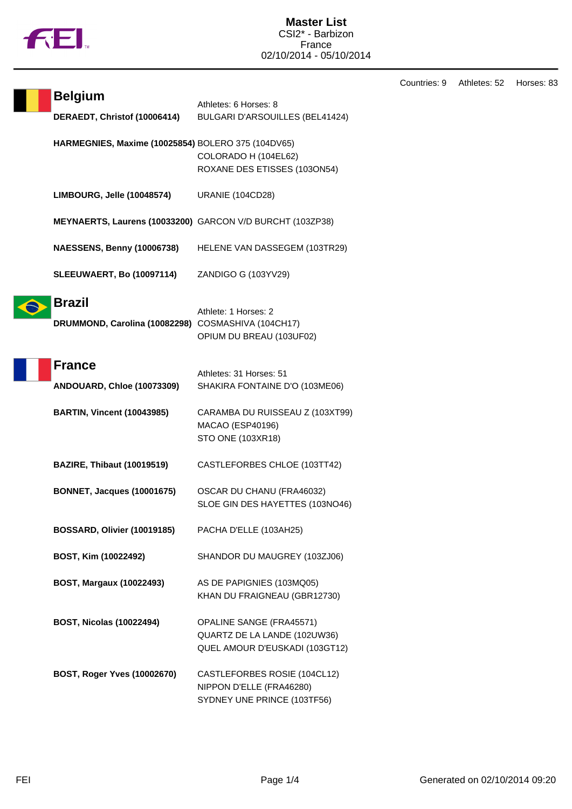

Countries: 9 Athletes: 52 Horses: 83

| <b>Belgium</b>                                            | Athletes: 6 Horses: 8                                        |
|-----------------------------------------------------------|--------------------------------------------------------------|
| DERAEDT, Christof (10006414)                              | BULGARI D'ARSOUILLES (BEL41424)                              |
| HARMEGNIES, Maxime (10025854) BOLERO 375 (104DV65)        |                                                              |
|                                                           | COLORADO H (104EL62)<br>ROXANE DES ETISSES (103ON54)         |
|                                                           |                                                              |
| LIMBOURG, Jelle (10048574)                                | <b>URANIE (104CD28)</b>                                      |
| MEYNAERTS, Laurens (10033200) GARCON V/D BURCHT (103ZP38) |                                                              |
| <b>NAESSENS, Benny (10006738)</b>                         | HELENE VAN DASSEGEM (103TR29)                                |
| <b>SLEEUWAERT, Bo (10097114)</b>                          | ZANDIGO G (103YV29)                                          |
| <b>Brazil</b>                                             |                                                              |
| DRUMMOND, Carolina (10082298) COSMASHIVA (104CH17)        | Athlete: 1 Horses: 2                                         |
|                                                           | OPIUM DU BREAU (103UF02)                                     |
|                                                           |                                                              |
| <b>France</b>                                             | Athletes: 31 Horses: 51                                      |
| ANDOUARD, Chloe (10073309)                                | SHAKIRA FONTAINE D'O (103ME06)                               |
| <b>BARTIN, Vincent (10043985)</b>                         | CARAMBA DU RUISSEAU Z (103XT99)                              |
|                                                           | MACAO (ESP40196)                                             |
|                                                           | STO ONE (103XR18)                                            |
| <b>BAZIRE, Thibaut (10019519)</b>                         | CASTLEFORBES CHLOE (103TT42)                                 |
|                                                           |                                                              |
| <b>BONNET, Jacques (10001675)</b>                         | OSCAR DU CHANU (FRA46032)<br>SLOE GIN DES HAYETTES (103NO46) |
|                                                           |                                                              |
| BOSSARD, Olivier (10019185)                               | PACHA D'ELLE (103AH25)                                       |
| BOST, Kim (10022492)                                      | SHANDOR DU MAUGREY (103ZJ06)                                 |
| BOST, Margaux (10022493)                                  | AS DE PAPIGNIES (103MQ05)                                    |
|                                                           | KHAN DU FRAIGNEAU (GBR12730)                                 |
| <b>BOST, Nicolas (10022494)</b>                           | OPALINE SANGE (FRA45571)                                     |
|                                                           | QUARTZ DE LA LANDE (102UW36)                                 |
|                                                           | QUEL AMOUR D'EUSKADI (103GT12)                               |
| <b>BOST, Roger Yves (10002670)</b>                        | CASTLEFORBES ROSIE (104CL12)                                 |
|                                                           | NIPPON D'ELLE (FRA46280)                                     |
|                                                           | SYDNEY UNE PRINCE (103TF56)                                  |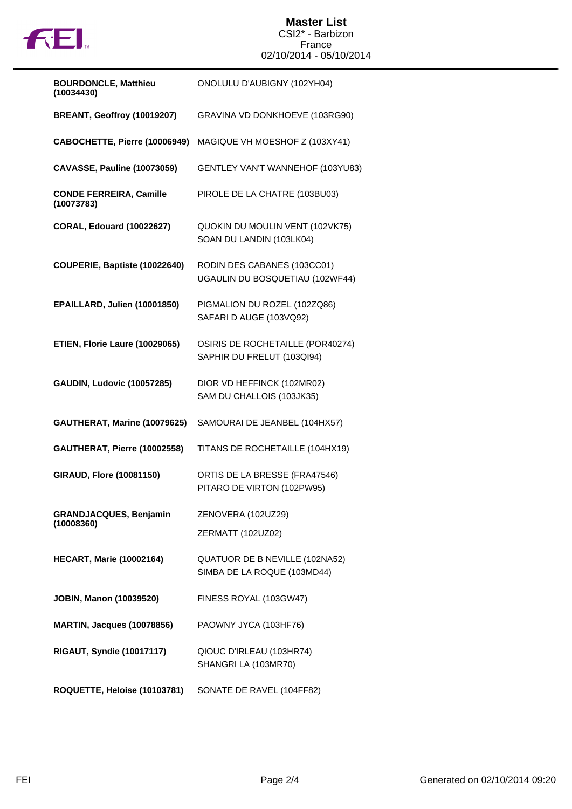

## **Master List** CSI2\* - Barbizon France 02/10/2014 - 05/10/2014

| <b>BOURDONCLE, Matthieu</b><br>(10034430)    | ONOLULU D'AUBIGNY (102YH04)                                    |
|----------------------------------------------|----------------------------------------------------------------|
| BREANT, Geoffroy (10019207)                  | GRAVINA VD DONKHOEVE (103RG90)                                 |
| CABOCHETTE, Pierre (10006949)                | MAGIQUE VH MOESHOF Z (103XY41)                                 |
| <b>CAVASSE, Pauline (10073059)</b>           | GENTLEY VAN'T WANNEHOF (103YU83)                               |
| <b>CONDE FERREIRA, Camille</b><br>(10073783) | PIROLE DE LA CHATRE (103BU03)                                  |
| <b>CORAL, Edouard (10022627)</b>             | QUOKIN DU MOULIN VENT (102VK75)<br>SOAN DU LANDIN (103LK04)    |
| COUPERIE, Baptiste (10022640)                | RODIN DES CABANES (103CC01)<br>UGAULIN DU BOSQUETIAU (102WF44) |
| EPAILLARD, Julien (10001850)                 | PIGMALION DU ROZEL (102ZQ86)<br>SAFARI D AUGE (103VQ92)        |
| ETIEN, Florie Laure (10029065)               | OSIRIS DE ROCHETAILLE (POR40274)<br>SAPHIR DU FRELUT (103QI94) |
| <b>GAUDIN, Ludovic (10057285)</b>            | DIOR VD HEFFINCK (102MR02)<br>SAM DU CHALLOIS (103JK35)        |
| GAUTHERAT, Marine (10079625)                 | SAMOURAI DE JEANBEL (104HX57)                                  |
| GAUTHERAT, Pierre (10002558)                 | TITANS DE ROCHETAILLE (104HX19)                                |
| <b>GIRAUD, Flore (10081150)</b>              | ORTIS DE LA BRESSE (FRA47546)<br>PITARO DE VIRTON (102PW95)    |
| <b>GRANDJACQUES, Benjamin</b><br>(10008360)  | ZENOVERA (102UZ29)                                             |
|                                              | ZERMATT (102UZ02)                                              |
| <b>HECART, Marie (10002164)</b>              | QUATUOR DE B NEVILLE (102NA52)<br>SIMBA DE LA ROQUE (103MD44)  |
| <b>JOBIN, Manon (10039520)</b>               | FINESS ROYAL (103GW47)                                         |
| <b>MARTIN, Jacques (10078856)</b>            | PAOWNY JYCA (103HF76)                                          |
| <b>RIGAUT, Syndie (10017117)</b>             | QIOUC D'IRLEAU (103HR74)<br>SHANGRI LA (103MR70)               |
| ROQUETTE, Heloise (10103781)                 | SONATE DE RAVEL (104FF82)                                      |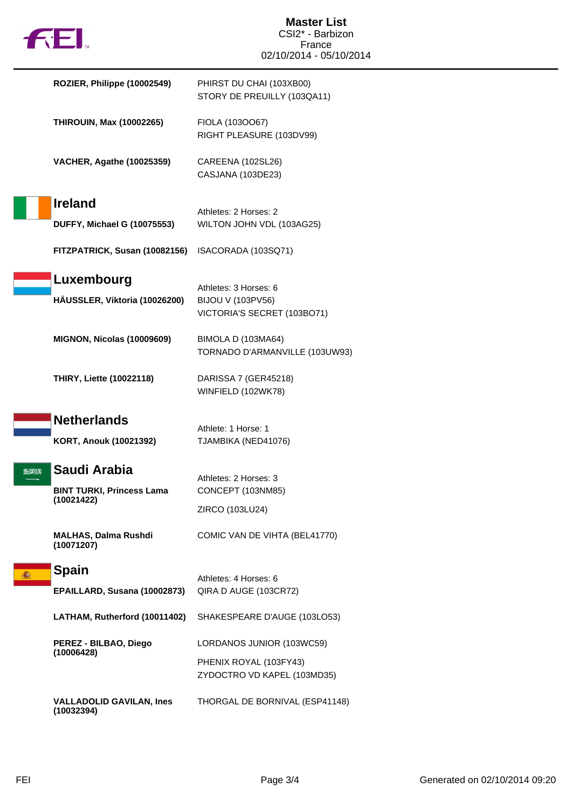|     | <b>THE 1.</b>                                                  | <b>Master List</b><br>CSI2* - Barbizon<br>France                          |
|-----|----------------------------------------------------------------|---------------------------------------------------------------------------|
|     |                                                                | 02/10/2014 - 05/10/2014                                                   |
|     | ROZIER, Philippe (10002549)                                    | PHIRST DU CHAI (103XB00)<br>STORY DE PREUILLY (103QA11)                   |
|     | <b>THIROUIN, Max (10002265)</b>                                | FIOLA (1030067)<br>RIGHT PLEASURE (103DV99)                               |
|     | <b>VACHER, Agathe (10025359)</b>                               | CAREENA (102SL26)<br>CASJANA (103DE23)                                    |
|     | <b>Ireland</b>                                                 |                                                                           |
|     | <b>DUFFY, Michael G (10075553)</b>                             | Athletes: 2 Horses: 2<br>WILTON JOHN VDL (103AG25)                        |
|     | FITZPATRICK, Susan (10082156)                                  | ISACORADA (103SQ71)                                                       |
|     | Luxembourg<br>HAUSSLER, Viktoria (10026200)                    | Athletes: 3 Horses: 6<br>BIJOU V (103PV56)<br>VICTORIA'S SECRET (103BO71) |
|     | <b>MIGNON, Nicolas (10009609)</b>                              | BIMOLA D (103MA64)<br>TORNADO D'ARMANVILLE (103UW93)                      |
|     | <b>THIRY, Liette (10022118)</b>                                | DARISSA 7 (GER45218)<br>WINFIELD (102WK78)                                |
|     | <b>Netherlands</b>                                             |                                                                           |
|     | KORT, Anouk (10021392)                                         | Athlete: 1 Horse: 1<br>TJAMBIKA (NED41076)                                |
| 光光期 | Saudi Arabia<br><b>BINT TURKI, Princess Lama</b><br>(10021422) | Athletes: 2 Horses: 3<br>CONCEPT (103NM85)<br>ZIRCO (103LU24)             |
|     | <b>MALHAS, Dalma Rushdi</b><br>(10071207)                      | COMIC VAN DE VIHTA (BEL41770)                                             |
|     | <b>Spain</b>                                                   |                                                                           |
|     | EPAILLARD, Susana (10002873)                                   | Athletes: 4 Horses: 6<br>QIRA D AUGE (103CR72)                            |
|     | LATHAM, Rutherford (10011402)                                  | SHAKESPEARE D'AUGE (103LO53)                                              |
|     | PEREZ - BILBAO, Diego<br>(10006428)                            | LORDANOS JUNIOR (103WC59)                                                 |
|     |                                                                | PHENIX ROYAL (103FY43)<br>ZYDOCTRO VD KAPEL (103MD35)                     |
|     | <b>VALLADOLID GAVILAN, Ines</b><br>(10032394)                  | THORGAL DE BORNIVAL (ESP41148)                                            |